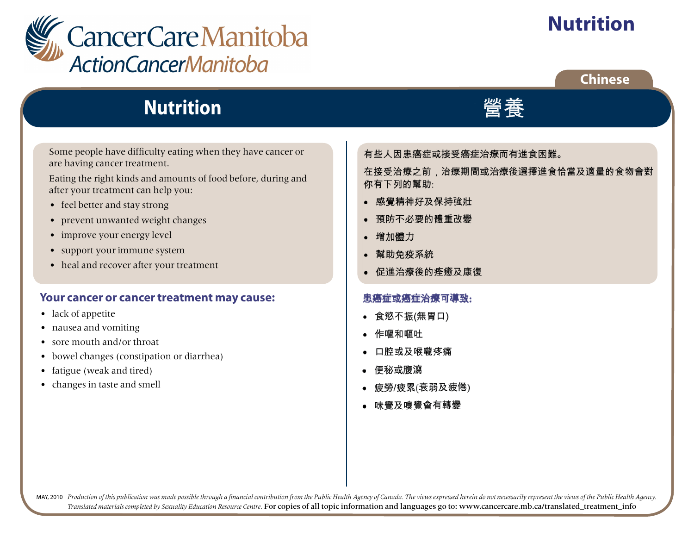

# **Nutrition**

### **Chinese**

## **Nutrition**

Some people have difficulty eating when they have cancer or are having cancer treatment.

Eating the right kinds and amounts of food before, during and after your treatment can help you:

- feel better and stay strong
- prevent unwanted weight changes
- improve your energy level
- support your immune system
- heal and recover after your treatment

#### **Your cancer or cancer treatment may cause:**

- lack of appetite
- nausea and vomiting
- sore mouth and/or throat
- bowel changes (constipation or diarrhea)
- fatigue (weak and tired)
- changes in taste and smell

有些人因患癌症或接受癌症治療而有進食困難。

在接受治療之前,治療期間或治療後選擇進食恰當及適量的食物會對 你有下列的幫助:

膋菶

- 感覺精神好及保持強壯
- 預防不必要的體重改變  $\bullet$
- 增加體力
- 幫助免疫系統  $\bullet$
- 促進治療後的痊癒及康復

#### 患癌症或癌症治療可導致:

- 食慾不振(無胃口)
- 作嘔和嘔吐
- 口腔或及喉嚨疼痛
- 便秘或腹瀉
- 疲勞/疲累(衰弱及疲倦)
- 味覺及嗅覺會有轉變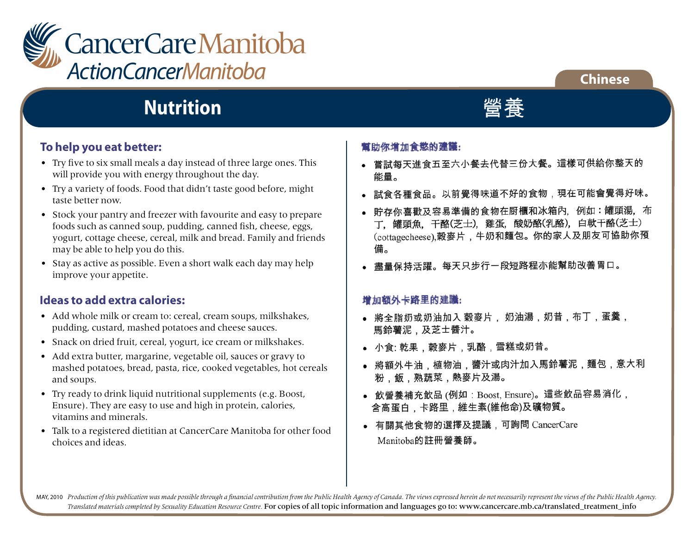

#### **Chinese**

## **Nutrition**

#### **To help you eat better:**

- Try five to six small meals a day instead of three large ones. This will provide you with energy throughout the day.
- Try a variety of foods. Food that didn't taste good before, might taste better now.
- Stock your pantry and freezer with favourite and easy to prepare foods such as canned soup, pudding, canned fish, cheese, eggs, yogurt, cottage cheese, cereal, milk and bread. Family and friends may be able to help you do this.
- Stay as active as possible. Even a short walk each day may help improve your appetite.

#### **Ideas to add extra calories:**

- Add whole milk or cream to: cereal, cream soups, milkshakes, pudding, custard, mashed potatoes and cheese sauces.
- Snack on dried fruit, cereal, yogurt, ice cream or milkshakes.
- Add extra butter, margarine, vegetable oil, sauces or gravy to mashed potatoes, bread, pasta, rice, cooked vegetables, hot cereals and soups.
- Try ready to drink liquid nutritional supplements (e.g. Boost, Ensure). They are easy to use and high in protein, calories, vitamins and minerals.
- Talk to a registered dietitian at CancerCare Manitoba for other food choices and ideas.

#### 幫助你增加食慾的建議:

- 嘗試每天進食五至六小餐去代替三份大餐。這樣可供給你整天的 能量。
- 試食各種食品。以前覺得味道不好的食物,現在可能會覺得好味。
- 貯存你喜歡及容易準備的食物在厨櫃和冰箱內,例如:罐頭湯,布 丁,罐頭魚,干酪(芝士),雞蛋,酸奶酪(乳酪),白軟干酪(芝士) (cottagecheese),榖麥片,牛奶和麵包。你的家人及朋友可協助你預 備。
- 盡量保持活躍。每天只步行一段短路程亦能幫助改善胃口。

#### 增加額外卡路里的建議:

- 將全脂奶或奶油加入 穀麥片, 奶油湯,奶昔,布丁,蛋羹, 馬鈴薯泥,及芝士醬汁。
- 小食: 乾果,穀麥片,乳酪,雪糕或奶昔。
- 將額外牛油,植物油,醬汁或肉汁加入馬鈴薯泥,麵包,意大利 粉、飯、熟蔬菜,熱麥片及湯。
- 飲營養補充飲品 (例如:Boost, Ensure)。這些飲品容易消化, 含高蛋白,卡路里,維生素(維他命)及礦物質。
- 有關其他食物的選擇及提議,可詢問 CancerCare Manitoba的註冊營養師。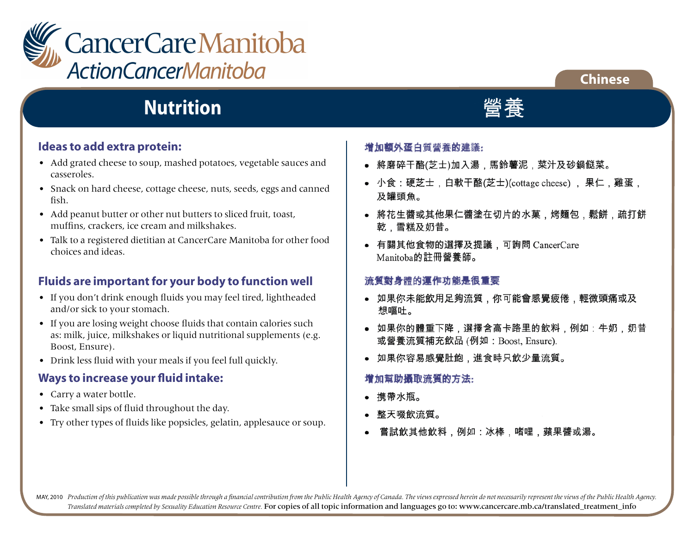

## **Nutrition**

#### **Ideas to add extra protein:**

- Add grated cheese to soup, mashed potatoes, vegetable sauces and casseroles.
- Snack on hard cheese, cottage cheese, nuts, seeds, eggs and canned fish.
- Add peanut butter or other nut butters to sliced fruit, toast, muffins, crackers, ice cream and milkshakes.
- Talk to a registered dietitian at CancerCare Manitoba for other food choices and ideas.

#### **Fluids are important for your body to function well**

- If you don't drink enough fluids you may feel tired, lightheaded and/or sick to your stomach.
- If you are losing weight choose fluids that contain calories such as: milk, juice, milkshakes or liquid nutritional supplements (e.g. Boost, Ensure).
- Drink less fluid with your meals if you feel full quickly.

#### **Ways to increase your fluid intake:**

- Carry a water bottle.
- Take small sips of fluid throughout the day.
- Try other types of fluids like popsicles, gelatin, applesauce or soup.

#### 增加額外蛋白質營養的建議:

- 將磨碎干酪(芝士)加入湯,馬鈴薯泥,菜汁及砂鍋餸菜。
- 小食:硬芝士,白軟干酪(芝士)(cottage cheese) ,果仁,雞蛋, 及罐頭魚。

**Chinese**

- 將花生醬或其他果仁醬塗在切片的水菓,烤麵包,鬆餅,疏打餅 乾,雪糕及奶昔。
- 有關其他食物的選擇及提議,可詢問 CancerCare Manitoba的註冊營養師。

#### 流質對身體的運作功能是很重要

- 如果你未能飲用足夠流質,你可能會感覺疲倦,輕微頭痛或及 想嘔吐。
- 如果你的體重下降,選擇含高卡路里的飲料,例如:牛奶,奶昔 或營養流質補充飲品 (例如: Boost, Ensure).
- 如果你容易感覺肚飽,進食時只飲少量流質。

#### 增加幫助攝取流質的方法:

- 携帶水瓶。
- 整天啜飲流質。
- 嘗試飲其他飲料,例如:冰棒,啫哩,蘋果醬或湯。